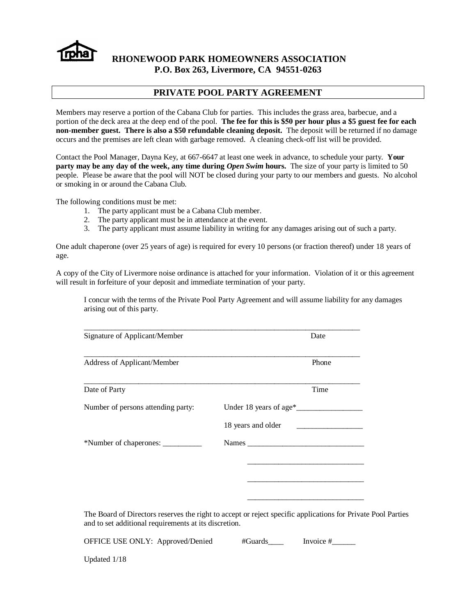

# **RHONEWOOD PARK HOMEOWNERS ASSOCIATION P.O. Box 263, Livermore, CA 94551-0263**

# **PRIVATE POOL PARTY AGREEMENT**

Members may reserve a portion of the Cabana Club for parties. This includes the grass area, barbecue, and a portion of the deck area at the deep end of the pool. **The fee for this is \$50 per hour plus a \$5 guest fee for each non-member guest. There is also a \$50 refundable cleaning deposit.** The deposit will be returned if no damage occurs and the premises are left clean with garbage removed. A cleaning check-off list will be provided.

Contact the Pool Manager, Dayna Key, at 667-6647 at least one week in advance, to schedule your party. **Your party may be any day of the week, any time during** *Open Swim* **hours.** The size of your party is limited to 50 people. Please be aware that the pool will NOT be closed during your party to our members and guests. No alcohol or smoking in or around the Cabana Club.

The following conditions must be met:

- 1. The party applicant must be a Cabana Club member.
- 2. The party applicant must be in attendance at the event.
- 3. The party applicant must assume liability in writing for any damages arising out of such a party.

One adult chaperone (over 25 years of age) is required for every 10 persons (or fraction thereof) under 18 years of age.

A copy of the City of Livermore noise ordinance is attached for your information. Violation of it or this agreement will result in forfeiture of your deposit and immediate termination of your party.

I concur with the terms of the Private Pool Party Agreement and will assume liability for any damages arising out of this party.

| Signature of Applicant/Member                                                                                                                                         |                    | Date  |
|-----------------------------------------------------------------------------------------------------------------------------------------------------------------------|--------------------|-------|
| Address of Applicant/Member                                                                                                                                           |                    | Phone |
| Date of Party                                                                                                                                                         |                    | Time  |
| Number of persons attending party:                                                                                                                                    |                    |       |
|                                                                                                                                                                       | 18 years and older |       |
|                                                                                                                                                                       |                    |       |
|                                                                                                                                                                       |                    |       |
|                                                                                                                                                                       |                    |       |
|                                                                                                                                                                       |                    |       |
| The Board of Directors reserves the right to accept or reject specific applications for Private Pool Parties<br>and to set additional requirements at its discretion. |                    |       |

| OFFICE USE ONLY: Approved/Denied | #Guards | Invoice # |
|----------------------------------|---------|-----------|
|                                  |         |           |

Updated 1/18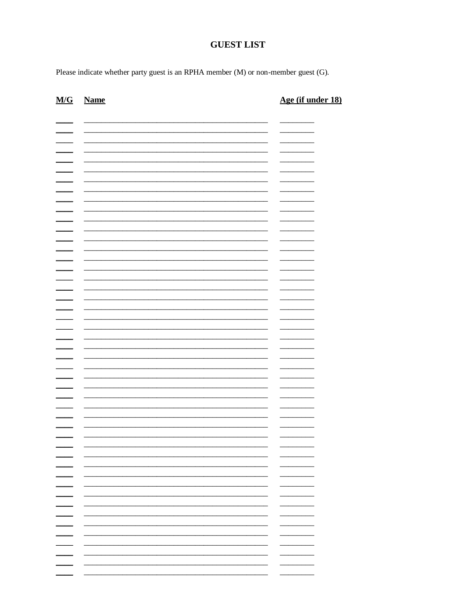# **GUEST LIST**

Please indicate whether party guest is an RPHA member (M) or non-member guest (G).

| <b>Name</b> | Age (if under 18)                                                                                                                        |
|-------------|------------------------------------------------------------------------------------------------------------------------------------------|
|             |                                                                                                                                          |
|             | the control of the control of the<br>-                                                                                                   |
|             | _____                                                                                                                                    |
|             |                                                                                                                                          |
|             |                                                                                                                                          |
|             |                                                                                                                                          |
|             |                                                                                                                                          |
|             |                                                                                                                                          |
|             | -                                                                                                                                        |
|             |                                                                                                                                          |
|             | _______                                                                                                                                  |
|             |                                                                                                                                          |
|             |                                                                                                                                          |
|             |                                                                                                                                          |
|             |                                                                                                                                          |
|             |                                                                                                                                          |
|             | $\overline{\phantom{0}}$<br>÷                                                                                                            |
|             |                                                                                                                                          |
|             |                                                                                                                                          |
|             |                                                                                                                                          |
|             |                                                                                                                                          |
|             |                                                                                                                                          |
|             |                                                                                                                                          |
|             |                                                                                                                                          |
|             |                                                                                                                                          |
|             |                                                                                                                                          |
|             |                                                                                                                                          |
|             | <u> 1989 - Johann John Stone, markin fan it ferstjer fan it ferstjer fan it ferstjer fan it ferstjer fan it fers</u><br>$\sim$<br>______ |
|             |                                                                                                                                          |
|             | --<br>_____                                                                                                                              |
|             | $\overline{\phantom{0}}$                                                                                                                 |
|             | $\overline{\phantom{0}}$                                                                                                                 |
| -           | $\overline{\phantom{0}}$                                                                                                                 |
|             | $-$                                                                                                                                      |
|             | ______                                                                                                                                   |
|             | _______                                                                                                                                  |
|             | $\overline{\phantom{0}}$                                                                                                                 |
|             | н.                                                                                                                                       |
|             | н.                                                                                                                                       |
|             | н.                                                                                                                                       |
|             | — I                                                                                                                                      |
|             | $\overline{\phantom{a}}$                                                                                                                 |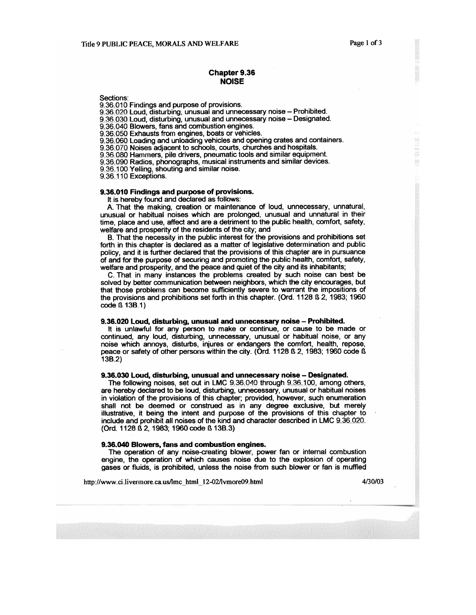.<br>W.

### **Chapter 9.36 NOISE**

Sections:

9.36.010 Findings and purpose of provisions.

9.36.020 Loud, disturbing, unusual and unnecessary noise - Prohibited.

9.36.030 Loud, disturbing, unusual and unnecessary noise - Designated.<br>9.36.040 Blowers, fans and combustion engines.

9.36.050 Exhausts from engines, boats or vehicles.

9.36.060 Loading and unloading vehicles and opening crates and containers.

9.36.070 Noises adjacent to schools, courts, churches and hospitals.

9.36.080 Hammers, pile drivers, pneumatic tools and similar equipment.

9.36.090 Radios, phonographs, musical instruments and similar devices.

9.36.100 Yelling, shouting and similar noise.

9.36.110 Exceptions.

#### 9.36.010 Findings and purpose of provisions.

It is hereby found and declared as follows:

A. That the making, creation or maintenance of loud, unnecessary, unnatural, unusual or habitual noises which are prolonged, unusual and unnatural in their time, place and use, affect and are a detriment to the public health, comfort, safety, welfare and prosperity of the residents of the city; and

B. That the necessity in the public interest for the provisions and prohibitions set forth in this chapter is declared as a matter of legislative determination and public policy, and it is further declared that the provisions of this chapter are in pursuance of and for the purpose of securing and promoting the public health, comfort, safety, welfare and prosperity, and the peace and quiet of the city and its inhabitants;

C. That in many instances the problems created by such noise can best be solved by better communication between neighbors, which the city encourages, but that those problems can become sufficiently severe to warrant the impositions of the provisions and prohibitions set forth in this chapter. (Ord. 1128 B 2, 1983; 1960 code *f* 13B.1)

#### 9.36.020 Loud, disturbing, unusual and unnecessary noise - Prohibited.

It is unlawful for any person to make or continue, or cause to be made or continued, any loud, disturbing, unnecessary, unusual or habitual noise, or any noise which annoys, disturbs, injures or endangers the comfort, health, repose, peace or safety of other persons within the city. (Ord. 1128 ß 2, 1983; 1960 code ß  $13B.2$ 

#### 9.36.030 Loud, disturbing, unusual and unnecessary noise - Designated.

The following noises, set out in LMC 9.36.040 through 9.36.100, among others, are hereby declared to be loud, disturbing, unnecessary, unusual or habitual noises in violation of the provisions of this chapter; provided, however, such enumeration shall not be deemed or construed as in any degree exclusive, but merely illustrative, it being the intent and purpose of the provisions of this chapter to include and prohibit all noises of the kind and character described in LMC 9.36.020. (Ord. 1128 ß 2, 1983; 1960 code ß 13B.3)

#### 9.36.040 Blowers, fans and combustion engines.

The operation of any noise-creating blower, power fan or internal combustion engine, the operation of which causes noise due to the explosion of operating gases or fluids, is prohibited, unless the noise from such blower or fan is muffled

http://www.ci.livermore.ca.us/lmc\_html\_12-02/lvmore09.html

4/30/03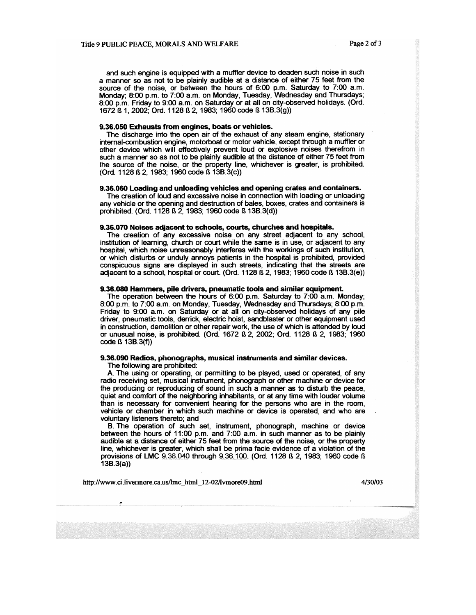and such engine is equipped with a muffler device to deaden such noise in such a manner so as not to be plainly audible at a distance of either 75 feet from the source of the noise, or between the hours of 6:00 p.m. Saturday to 7:00 a.m. Monday; 8:00 p.m. to 7:00 a.m. on Monday, Tuesday, Wednesday and Thursdays; 8:00 p.m. Friday to 9:00 a.m. on Saturday or at all on city-observed holidays. (Ord. 1672 B 1, 2002; Ord. 1128 B 2, 1983; 1960 code B 13B 3(g))

#### 9.36.050 Exhausts from engines, boats or vehicles.

The discharge into the open air of the exhaust of any steam engine, stationary internal-combustion engine, motorboat or motor vehicle, except through a muffler or other device which will effectively prevent loud or explosive noises therefrom in such a manner so as not to be plainly audible at the distance of either 75 feet from the source of the noise, or the property line, whichever is greater, is prohibited. (Ord. 1128 B 2, 1983; 1960 code B 13B.3(c))

#### 9.36.060 Loading and unloading vehicles and opening crates and containers.

The creation of loud and excessive noise in connection with loading or unloading any vehicle or the opening and destruction of bales, boxes, crates and containers is prohibited. (Ord. 1128 ß 2, 1983; 1960 code ß 13B.3(d))

#### 9.36.070 Noises adjacent to schools, courts, churches and hospitals.

The creation of any excessive noise on any street adjacent to any school, institution of learning, church or court while the same is in use, or adjacent to any hospital, which noise unreasonably interferes with the workings of such institution, or which disturbs or unduly annoys patients in the hospital is prohibited, provided conspicuous signs are displayed in such streets, indicating that the streets are adjacent to a school, hospital or court. (Ord. 1128 B 2, 1983; 1960 code B 13B.3(e))

#### 9.36.080 Hammers, pile drivers, pneumatic tools and similar equipment.

The operation between the hours of 6:00 p.m. Saturday to 7:00 a.m. Monday; 8:00 p.m. to 7:00 a.m. on Monday, Tuesday, Wednesday and Thursdays; 8:00 p.m. Friday to 9:00 a.m. on Saturday or at all on city-observed holidays of any pile driver, pneumatic tools, derrick, electric hoist, sandblaster or other equipment used in construction, demolition or other repair work, the use of which is attended by loud or unusual noise, is prohibited. (Ord. 1672 ß 2, 2002; Ord. 1128 ß 2, 1983; 1960 code *f* 13B.3(f))

## 9.36.090 Radios, phonographs, musical instruments and similar devices.

The following are prohibited:

A. The using or operating, or permitting to be played, used or operated, of any radio receiving set, musical instrument, phonograph or other machine or device for the producing or reproducing of sound in such a manner as to disturb the peace, quiet and comfort of the neighboring inhabitants, or at any time with louder volume than is necessary for convenient hearing for the persons who are in the room, vehicle or chamber in which such machine or device is operated, and who are voluntary listeners thereto; and

B. The operation of such set, instrument, phonograph, machine or device between the hours of 11:00 p.m. and 7:00 a.m. in such manner as to be plainly audible at a distance of either 75 feet from the source of the noise, or the property line, whichever is greater, which shall be prima facie evidence of a violation of the provisions of LMC 9.36.040 through 9.36.100. (Ord. 1128 B 2, 1983; 1960 code B  $13B.3(a)$ 

http://www.ci.livermore.ca.us/lmc\_html\_12-02/lvmore09.html

4/30/03